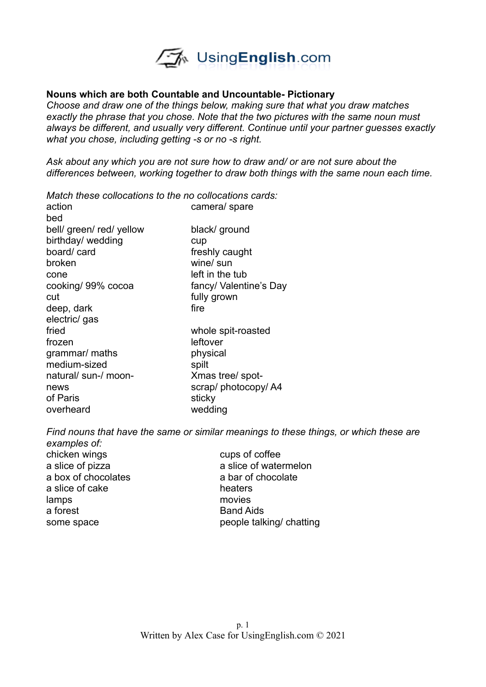

## **Nouns which are both Countable and Uncountable- Pictionary**

*Choose and draw one of the things below, making sure that what you draw matches exactly the phrase that you chose. Note that the two pictures with the same noun must always be different, and usually very different. Continue until your partner guesses exactly what you chose, including getting -s or no -s right.* 

*Ask about any which you are not sure how to draw and/ or are not sure about the differences between, working together to draw both things with the same noun each time.* 

camera/ spare

*Match these collocations to the no collocations cards:*

| action                   | cam    |
|--------------------------|--------|
| bed                      |        |
| bell/ green/ red/ yellow | blac   |
| birthday/ wedding        | cup    |
| board/card               | fres   |
| broken                   | wine   |
| cone                     | left i |
| cooking/ 99% cocoa       | fanc   |
| cut                      | fully  |
| deep, dark               | fire   |
| electric/ gas            |        |
| fried                    | who    |
| frozen                   | leftc  |
| grammar/ maths           | phy:   |
| medium-sized             | spilt  |
| natural/ sun-/ moon-     | Xma    |
| news                     | scra   |
| of Paris                 | sticl  |
| overheard                | wed    |

black/ ground freshly caught wine/ sun left in the tub fancy/ Valentine's Day fully grown whole spit-roasted leftover physical Xmas tree/ spotscrap/ photocopy/ A4 sticky wedding

*Find nouns that have the same or similar meanings to these things, or which these are examples of:*

chicken wings cups of coffee a box of chocolates a bar of chocolate a slice of cake heaters lamps movies a forest **Band Aids** 

a slice of pizza a slice of watermelon some space people talking/ chatting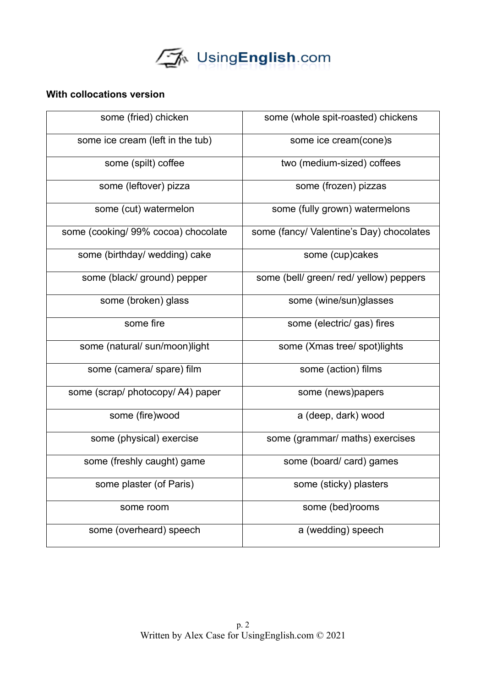

## **With collocations version**

| some (fried) chicken                | some (whole spit-roasted) chickens       |
|-------------------------------------|------------------------------------------|
| some ice cream (left in the tub)    | some ice cream(cone)s                    |
| some (spilt) coffee                 | two (medium-sized) coffees               |
| some (leftover) pizza               | some (frozen) pizzas                     |
| some (cut) watermelon               | some (fully grown) watermelons           |
| some (cooking/ 99% cocoa) chocolate | some (fancy/ Valentine's Day) chocolates |
| some (birthday/ wedding) cake       | some (cup)cakes                          |
| some (black/ ground) pepper         | some (bell/ green/ red/ yellow) peppers  |
| some (broken) glass                 | some (wine/sun)glasses                   |
| some fire                           | some (electric/ gas) fires               |
| some (natural/sun/moon)light        | some (Xmas tree/ spot)lights             |
| some (camera/ spare) film           | some (action) films                      |
| some (scrap/ photocopy/ A4) paper   | some (news)papers                        |
| some (fire)wood                     | a (deep, dark) wood                      |
| some (physical) exercise            | some (grammar/ maths) exercises          |
| some (freshly caught) game          | some (board/card) games                  |
| some plaster (of Paris)             | some (sticky) plasters                   |
| some room                           | some (bed)rooms                          |
| some (overheard) speech             | a (wedding) speech                       |